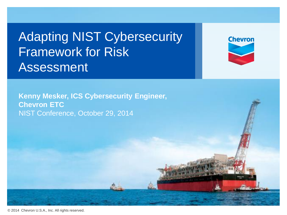Adapting NIST Cybersecurity Framework for Risk Assessment

**Chevron** 

**Kenny Mesker, ICS Cybersecurity Engineer, Chevron ETC** NIST Conference, October 29, 2014

© 2014 Chevron U.S.A., Inc. All rights reserved.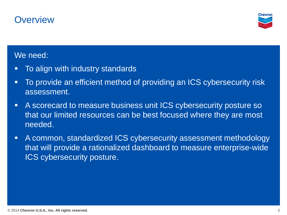## **Overview**



#### We need:

- **To align with industry standards**
- To provide an efficient method of providing an ICS cybersecurity risk assessment.
- A scorecard to measure business unit ICS cybersecurity posture so that our limited resources can be best focused where they are most needed.
- A common, standardized ICS cybersecurity assessment methodology that will provide a rationalized dashboard to measure enterprise-wide ICS cybersecurity posture.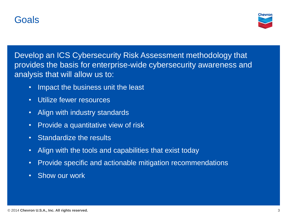## Goals



Develop an ICS Cybersecurity Risk Assessment methodology that provides the basis for enterprise-wide cybersecurity awareness and analysis that will allow us to:

- Impact the business unit the least
- Utilize fewer resources
- Align with industry standards
- Provide a quantitative view of risk
- Standardize the results
- Align with the tools and capabilities that exist today
- Provide specific and actionable mitigation recommendations
- Show our work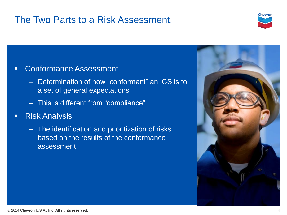# The Two Parts to a Risk Assessment.



#### **EXECONFORMANCE Assessment**

- Determination of how "conformant" an ICS is to a set of general expectations
- This is different from "compliance"
- **Risk Analysis** 
	- The identification and prioritization of risks based on the results of the conformance assessment

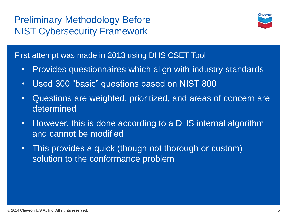# Preliminary Methodology Before NIST Cybersecurity Framework



First attempt was made in 2013 using DHS CSET Tool

- Provides questionnaires which align with industry standards
- Used 300 "basic" questions based on NIST 800
- Questions are weighted, prioritized, and areas of concern are determined
- However, this is done according to a DHS internal algorithm and cannot be modified
- This provides a quick (though not thorough or custom) solution to the conformance problem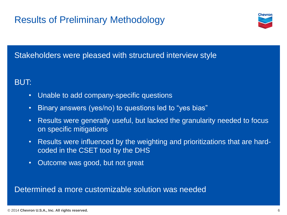

## Stakeholders were pleased with structured interview style

## BUT:

- Unable to add company-specific questions
- Binary answers (yes/no) to questions led to "yes bias"
- Results were generally useful, but lacked the granularity needed to focus on specific mitigations
- Results were influenced by the weighting and prioritizations that are hardcoded in the CSET tool by the DHS
- Outcome was good, but not great

Determined a more customizable solution was needed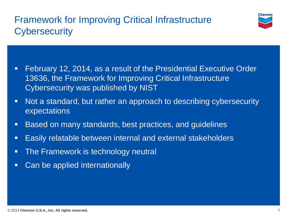# Framework for Improving Critical Infrastructure **Cybersecurity**



- February 12, 2014, as a result of the Presidential Executive Order 13636, the Framework for Improving Critical Infrastructure Cybersecurity was published by NIST
- Not a standard, but rather an approach to describing cybersecurity expectations
- Based on many standards, best practices, and guidelines
- **Easily relatable between internal and external stakeholders**
- **The Framework is technology neutral**
- **Can be applied internationally**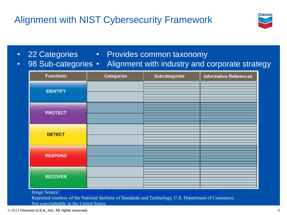# Alignment with NIST Cybersecurity Framework



• 22 Categories

#### • Provides common taxonomy

• Alignment with industry and corporate strategy • 98 Sub-categories •

| <b>Functions</b>                                     | Categories | <b>Subcategories</b> | <b>Informative References</b> |
|------------------------------------------------------|------------|----------------------|-------------------------------|
| <b>IDENTIFY</b>                                      |            |                      |                               |
| <b>PROTECT</b>                                       |            |                      |                               |
| <b>DETECT</b>                                        |            |                      |                               |
| <b>RESPOND</b>                                       |            |                      |                               |
| <b>RECOVER</b><br><b>Contract Contract</b><br>$\sim$ |            |                      |                               |

Image Source:

Reprinted courtesy of the National Institute of Standards and Technology, U.S. Department of Commerce. Not copyrightable in the United States.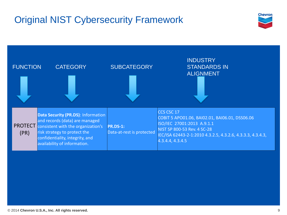# Original NIST Cybersecurity Framework



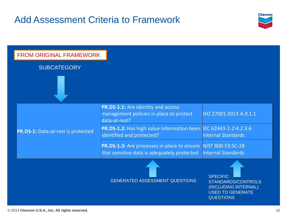# Add Assessment Criteria to Framework



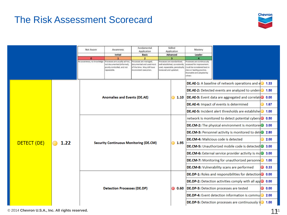## The Risk Assessment Scorecard



|                     |  | Not Aware                                     | Awareness<br>Initial                                                                                     | Fundamental<br>Application<br><b>Basic</b>                                                                  | Skilled<br>Application<br>Advanced                                                                                      |      | Mastery<br>Leader                                                                                                                                        |                                                                       |      |      |
|---------------------|--|-----------------------------------------------|----------------------------------------------------------------------------------------------------------|-------------------------------------------------------------------------------------------------------------|-------------------------------------------------------------------------------------------------------------------------|------|----------------------------------------------------------------------------------------------------------------------------------------------------------|-----------------------------------------------------------------------|------|------|
|                     |  | $\bullet$                                     |                                                                                                          | $\mathbf{z}$                                                                                                | а                                                                                                                       |      |                                                                                                                                                          |                                                                       |      |      |
|                     |  | No awareness, no knowledge                    | Processes are usually ad-hoc,<br>not documented (informal).<br>poorly controlled, and not<br>repeatable. | rocesses are managed.<br>locumented and used most<br>of the time. May still have<br>inconsistent execution. | Yocesses are standardized.<br>well established, consistently<br>used, repeatable, periodically<br>reviewed and updated. |      | Processes are continuously<br>ssessed for improvement<br>ould be considered best in<br>class or feading practice.<br>Shareable and adopted by<br>others. |                                                                       |      |      |
| DETECT (DE)<br>1.22 |  |                                               |                                                                                                          |                                                                                                             |                                                                                                                         |      |                                                                                                                                                          | <b>DE.AE-1:</b> A baseline of network operations and $e^{\circ}$ 1.33 |      |      |
|                     |  | <b>Anomalies and Events (DE.AE)</b>           |                                                                                                          |                                                                                                             |                                                                                                                         |      | <b>DE.AE-2:</b> Detected events are analyzed to unders                                                                                                   |                                                                       | 1.50 |      |
|                     |  |                                               |                                                                                                          |                                                                                                             |                                                                                                                         | 1.10 | DE.AE-3: Event data are aggregated and correlat 0 0.00                                                                                                   |                                                                       |      |      |
|                     |  |                                               |                                                                                                          |                                                                                                             |                                                                                                                         |      | DE.AE-4: Impact of events is determined                                                                                                                  |                                                                       | 1.67 |      |
|                     |  |                                               |                                                                                                          |                                                                                                             |                                                                                                                         |      |                                                                                                                                                          | <b>DE.AE-5:</b> Incident alert thresholds are establishe              |      | 1.00 |
|                     |  | <b>Security Continuous Monitoring (DE.CM)</b> |                                                                                                          |                                                                                                             |                                                                                                                         |      |                                                                                                                                                          | network is monitored to detect potential cybers 0.50                  |      |      |
|                     |  |                                               |                                                                                                          |                                                                                                             |                                                                                                                         |      |                                                                                                                                                          | <b>DE.CM-2:</b> The physical environment is monitore 3.00             |      |      |
|                     |  |                                               |                                                                                                          |                                                                                                             |                                                                                                                         |      |                                                                                                                                                          | <b>DE.CM-3:</b> Personnel activity is monitored to det 2.80           |      |      |
|                     |  |                                               |                                                                                                          |                                                                                                             |                                                                                                                         | 1.95 |                                                                                                                                                          | <b>DE.CM-4: Malicious code is detected</b>                            |      | 2.00 |
|                     |  |                                               |                                                                                                          |                                                                                                             |                                                                                                                         |      | <b>DE.CM-5:</b> Unauthorized mobile code is detected 3.00                                                                                                |                                                                       |      |      |
|                     |  |                                               |                                                                                                          |                                                                                                             |                                                                                                                         |      |                                                                                                                                                          | <b>DE.CM-6:</b> External service provider activity is md 3.00         |      |      |
|                     |  |                                               |                                                                                                          |                                                                                                             |                                                                                                                         |      |                                                                                                                                                          | <b>DE.CM-7:</b> Monitoring for unauthorized personne                  |      | 1.00 |
|                     |  |                                               |                                                                                                          |                                                                                                             |                                                                                                                         |      |                                                                                                                                                          | <b>DE.CM-8:</b> Vulnerability scans are performed                     |      | 0.33 |
|                     |  |                                               |                                                                                                          |                                                                                                             |                                                                                                                         |      | <b>DE.DP-1:</b> Roles and responsibilities for detection 0.00                                                                                            |                                                                       |      |      |
|                     |  |                                               |                                                                                                          |                                                                                                             |                                                                                                                         | 0.60 |                                                                                                                                                          | <b>DE.DP-2:</b> Detection activities comply with all appo             |      | 0.00 |
|                     |  | <b>Detection Processes (DE.DP)</b>            |                                                                                                          |                                                                                                             | ◯                                                                                                                       |      |                                                                                                                                                          | DE.DP-3: Detection processes are tested                               |      | 0.00 |
|                     |  |                                               |                                                                                                          |                                                                                                             |                                                                                                                         |      |                                                                                                                                                          | <b>DE.DP-4:</b> Event detection information is commun                 |      | 2.00 |
|                     |  |                                               |                                                                                                          |                                                                                                             |                                                                                                                         |      |                                                                                                                                                          | <b>DE.DP-5:</b> Detection processes are continuously if               |      | 1.00 |

#### © 2014 **Chevron U.S.A., Inc. All rights reserved.**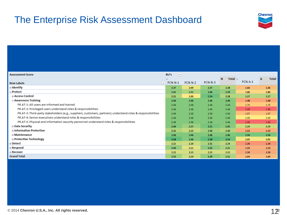## The Enterprise Risk Assessment Dashboard



| <b>Assessment Score</b>                                                                                      | <b>BU's</b><br>$ \mathbf{v} $ |                    |                    |                   |         |                              |
|--------------------------------------------------------------------------------------------------------------|-------------------------------|--------------------|--------------------|-------------------|---------|------------------------------|
|                                                                                                              | Θ.                            |                    |                    | N<br>Total $\Box$ |         | <b>Total</b><br>$\mathbf{A}$ |
| <b>Row Labels</b><br>$\mathbf{v}$                                                                            | <b>PCN N-1</b>                | PCN <sub>N-2</sub> | PCN <sub>N-3</sub> |                   | PCN A-1 |                              |
| ⊞ Identify                                                                                                   | 2.37                          | 2.09               | 2.37               | 2.28              | 1.66    | 1.66                         |
| <b>Protect</b>                                                                                               | 2.41                          | 2.31               | 2.46               | 2.39              | 1.86    | 1.86                         |
| <b>E Access Control</b>                                                                                      | 2.31                          | 2.00               | 2.54               | 2.28              | 2.27    | 2.27                         |
| <b>E</b> Awareness Training                                                                                  | 2.46                          | 2.46               | 2.46               | 2.46              | 1.48    | 1.48                         |
| PR.AT-1: All users are informed and trained                                                                  | 2.46                          | 2.46               | 2.46               | 2.46              | 1.75    | 1.75                         |
| PR.AT-2: Privileged users understand roles & responsibilities                                                | 2.46                          | 2.46               | 2.46               | 2.46              | 1.00    | 1.00                         |
| PR.AT-3: Third-party stakeholders (e.g., suppliers, customers, partners) understand roles & responsibilities | 2.46                          | 2.46               | 2.46               | 2.46              | 1.67    | 1.67                         |
| PR.AT-4: Senior executives understand roles & responsibilities                                               | 2.46                          | 2.46               | 2.46               | 2.46              | 2.00    | 2.00                         |
| PR.AT-5: Physical and information security personnel understand roles & responsibilities                     | 2.46                          | 2.46               | 2.46               | 2.46              | 1.00    | 1.00                         |
| ⊞ Data Security                                                                                              | 2.46                          | 2.37               | 2.51               | 2.45              | 2.19    | 2.19                         |
| <b>⊞ Information Protection</b>                                                                              | 2.31                          | 2.23               | 2.36               | 2.30              | 1.53    | 1.53                         |
| <b>⊞ Maintenance</b>                                                                                         | 2.46                          | 2.46               | 2.46               | 2.46              | 2.50    | 2.50                         |
| ⊞ Protective Technology                                                                                      | 2.58                          | 2.46               | 2.58               | 2.54              | 2.05    | 2.05                         |
| ⊞ Detect                                                                                                     | 2.21                          | 2.19               | 2.31               | 2.24              | 1.34    | 1.34                         |
| ⊕ Respond                                                                                                    | 2.40                          | 2.11               | 2.42               | 2.31              | 1.54    | 1.54                         |
| ⊞ Recover                                                                                                    | 2.15                          | 2.15               | 2.15               | 2.15              | 1.50    | 1.50                         |
| <b>Grand Total</b>                                                                                           | 2.35                          | 2.19               | 2.39               | 2.31              | 1.64    | 1.64                         |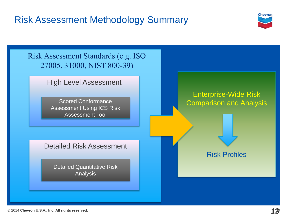# Risk Assessment Methodology Summary